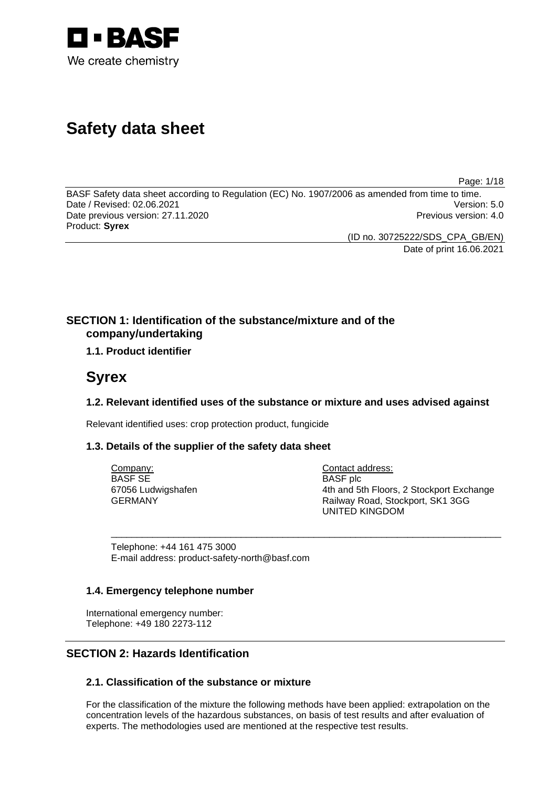

# **Safety data sheet**

Page: 1/18

BASF Safety data sheet according to Regulation (EC) No. 1907/2006 as amended from time to time. Date / Revised: 02.06.2021 Version: 5.0 Date previous version: 27.11.2020 **Previous version: 4.0** Previous version: 4.0 Product: **Syrex** 

(ID no. 30725222/SDS\_CPA\_GB/EN)

Date of print 16.06.2021

## **SECTION 1: Identification of the substance/mixture and of the company/undertaking**

## **1.1. Product identifier**

## **Syrex**

## **1.2. Relevant identified uses of the substance or mixture and uses advised against**

\_\_\_\_\_\_\_\_\_\_\_\_\_\_\_\_\_\_\_\_\_\_\_\_\_\_\_\_\_\_\_\_\_\_\_\_\_\_\_\_\_\_\_\_\_\_\_\_\_\_\_\_\_\_\_\_\_\_\_\_\_\_\_\_\_\_\_\_\_\_\_\_\_\_\_

Relevant identified uses: crop protection product, fungicide

## **1.3. Details of the supplier of the safety data sheet**

Company: BASF SE 67056 Ludwigshafen GERMANY

Contact address: BASF plc 4th and 5th Floors, 2 Stockport Exchange Railway Road, Stockport, SK1 3GG UNITED KINGDOM

Telephone: +44 161 475 3000 E-mail address: product-safety-north@basf.com

## **1.4. Emergency telephone number**

International emergency number: Telephone: +49 180 2273-112

## **SECTION 2: Hazards Identification**

## **2.1. Classification of the substance or mixture**

For the classification of the mixture the following methods have been applied: extrapolation on the concentration levels of the hazardous substances, on basis of test results and after evaluation of experts. The methodologies used are mentioned at the respective test results.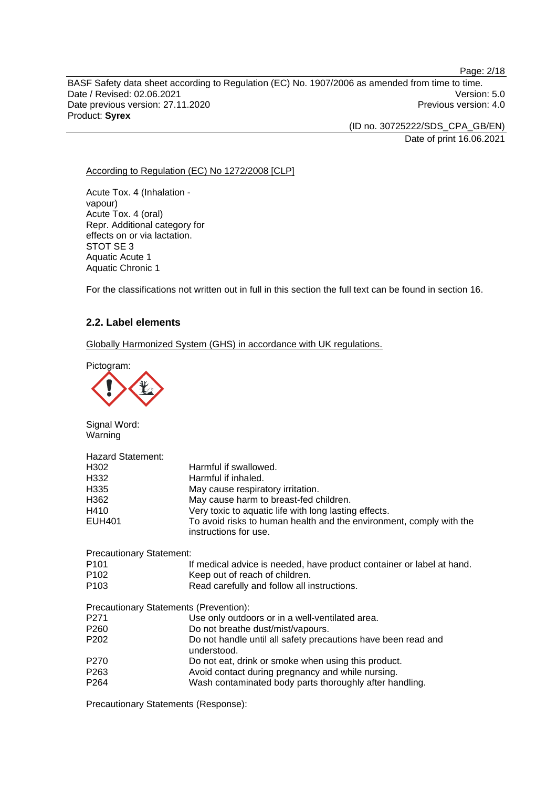BASF Safety data sheet according to Regulation (EC) No. 1907/2006 as amended from time to time. Date / Revised: 02.06.2021 Version: 5.0 Date previous version: 27.11.2020 **Previous version: 4.0** Previous version: 4.0 Product: **Syrex** 

> (ID no. 30725222/SDS\_CPA\_GB/EN) Date of print 16.06.2021

Page: 2/18

According to Regulation (EC) No 1272/2008 [CLP]

Acute Tox. 4 (Inhalation vapour) Acute Tox. 4 (oral) Repr. Additional category for effects on or via lactation. STOT SE 3 Aquatic Acute 1 Aquatic Chronic 1

For the classifications not written out in full in this section the full text can be found in section 16.

## **2.2. Label elements**

Globally Harmonized System (GHS) in accordance with UK regulations.

Pictogram:



Signal Word: Warning

| <b>Hazard Statement:</b><br>H <sub>302</sub><br>H <sub>332</sub><br>H335<br>H <sub>362</sub><br>H410<br>EUH401 | Harmful if swallowed.<br>Harmful if inhaled.<br>May cause respiratory irritation.<br>May cause harm to breast-fed children.<br>Very toxic to aquatic life with long lasting effects.<br>To avoid risks to human health and the environment, comply with the<br>instructions for use. |  |  |
|----------------------------------------------------------------------------------------------------------------|--------------------------------------------------------------------------------------------------------------------------------------------------------------------------------------------------------------------------------------------------------------------------------------|--|--|
| <b>Precautionary Statement:</b>                                                                                |                                                                                                                                                                                                                                                                                      |  |  |
| P <sub>101</sub>                                                                                               | If medical advice is needed, have product container or label at hand.                                                                                                                                                                                                                |  |  |
| P <sub>102</sub>                                                                                               | Keep out of reach of children.                                                                                                                                                                                                                                                       |  |  |
| P <sub>103</sub>                                                                                               | Read carefully and follow all instructions.                                                                                                                                                                                                                                          |  |  |
| Precautionary Statements (Prevention):                                                                         |                                                                                                                                                                                                                                                                                      |  |  |
| P <sub>271</sub>                                                                                               | Use only outdoors or in a well-ventilated area.                                                                                                                                                                                                                                      |  |  |
| P <sub>260</sub>                                                                                               | Do not breathe dust/mist/vapours.                                                                                                                                                                                                                                                    |  |  |
| P <sub>202</sub>                                                                                               | Do not handle until all safety precautions have been read and<br>understood.                                                                                                                                                                                                         |  |  |
| P <sub>270</sub>                                                                                               | Do not eat, drink or smoke when using this product.                                                                                                                                                                                                                                  |  |  |
| P <sub>263</sub>                                                                                               | Avoid contact during pregnancy and while nursing.                                                                                                                                                                                                                                    |  |  |
| P <sub>264</sub>                                                                                               | Wash contaminated body parts thoroughly after handling.                                                                                                                                                                                                                              |  |  |

Precautionary Statements (Response):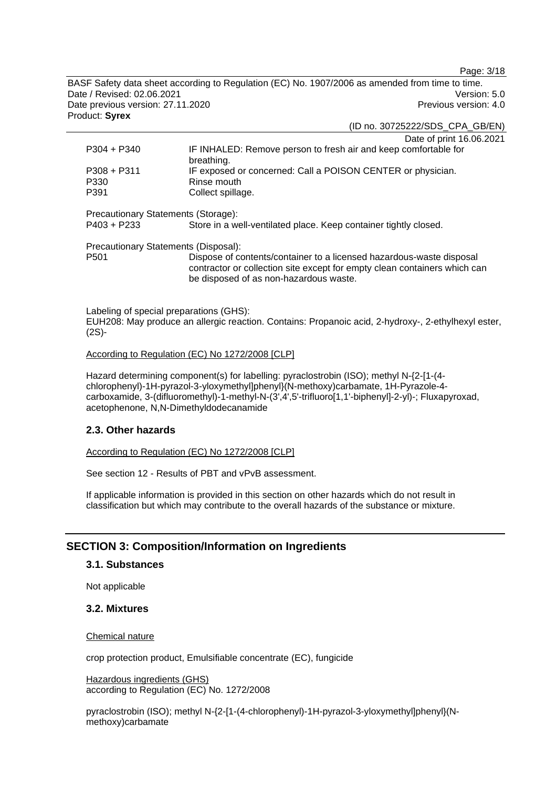Page: 3/18

BASF Safety data sheet according to Regulation (EC) No. 1907/2006 as amended from time to time. Date / Revised: 02.06.2021 Version: 5.0 Date previous version: 27.11.2020 **Previous version: 4.0** Previous version: 4.0 Product: **Syrex** 

(ID no. 30725222/SDS\_CPA\_GB/EN)

|                                                      | Date of print 16.06.2021                                                                                                                                                                    |
|------------------------------------------------------|---------------------------------------------------------------------------------------------------------------------------------------------------------------------------------------------|
| $P304 + P340$                                        | IF INHALED: Remove person to fresh air and keep comfortable for<br>breathing.                                                                                                               |
| $P308 + P311$                                        | IF exposed or concerned: Call a POISON CENTER or physician.                                                                                                                                 |
| P330                                                 | Rinse mouth                                                                                                                                                                                 |
| P391                                                 | Collect spillage.                                                                                                                                                                           |
| Precautionary Statements (Storage):<br>$P403 + P233$ | Store in a well-ventilated place. Keep container tightly closed.                                                                                                                            |
| Precautionary Statements (Disposal):                 |                                                                                                                                                                                             |
| P <sub>501</sub>                                     | Dispose of contents/container to a licensed hazardous-waste disposal<br>contractor or collection site except for empty clean containers which can<br>be disposed of as non-hazardous waste. |
|                                                      |                                                                                                                                                                                             |
|                                                      |                                                                                                                                                                                             |

Labeling of special preparations (GHS): EUH208: May produce an allergic reaction. Contains: Propanoic acid, 2-hydroxy-, 2-ethylhexyl ester, (2S)-

#### According to Regulation (EC) No 1272/2008 [CLP]

Hazard determining component(s) for labelling: pyraclostrobin (ISO); methyl N-{2-[1-(4 chlorophenyl)-1H-pyrazol-3-yloxymethyl]phenyl}(N-methoxy)carbamate, 1H-Pyrazole-4 carboxamide, 3-(difluoromethyl)-1-methyl-N-(3',4',5'-trifluoro[1,1'-biphenyl]-2-yl)-; Fluxapyroxad, acetophenone, N,N-Dimethyldodecanamide

## **2.3. Other hazards**

According to Regulation (EC) No 1272/2008 [CLP]

See section 12 - Results of PBT and vPvB assessment.

If applicable information is provided in this section on other hazards which do not result in classification but which may contribute to the overall hazards of the substance or mixture.

## **SECTION 3: Composition/Information on Ingredients**

## **3.1. Substances**

Not applicable

## **3.2. Mixtures**

#### Chemical nature

crop protection product, Emulsifiable concentrate (EC), fungicide

Hazardous ingredients (GHS) according to Regulation (EC) No. 1272/2008

pyraclostrobin (ISO); methyl N-{2-[1-(4-chlorophenyl)-1H-pyrazol-3-yloxymethyl]phenyl}(Nmethoxy)carbamate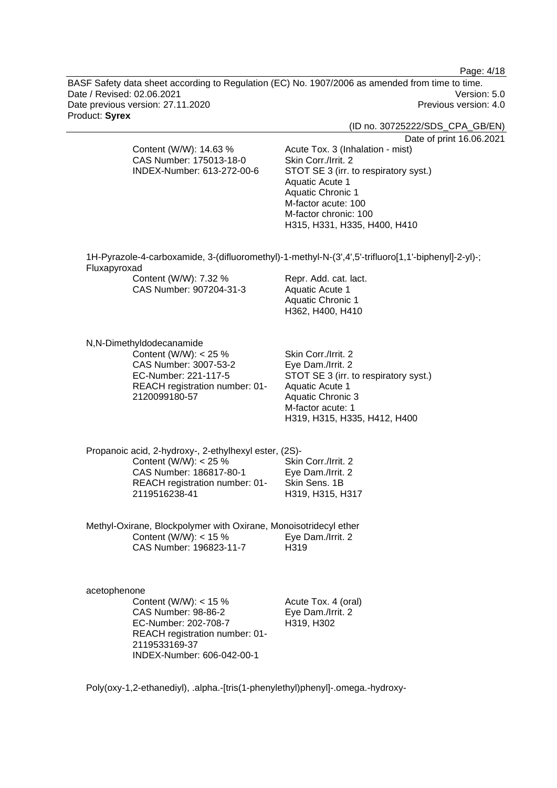Page: 4/18

BASF Safety data sheet according to Regulation (EC) No. 1907/2006 as amended from time to time. Date / Revised: 02.06.2021 Version: 5.0 Date previous version: 27.11.2020 **Previous version: 4.0** Previous version: 4.0 Product: **Syrex** 

(ID no. 30725222/SDS\_CPA\_GB/EN)

Date of print 16.06.2021

| CAS Number: 175013-18-0    | Skin Corr./Irrit. 2                                                                                 |
|----------------------------|-----------------------------------------------------------------------------------------------------|
| INDEX-Number: 613-272-00-6 | STOT SE 3 (irr. to respiratory syst.)                                                               |
|                            | Aquatic Acute 1                                                                                     |
|                            | <b>Aquatic Chronic 1</b>                                                                            |
|                            | M-factor acute: 100                                                                                 |
|                            | M-factor chronic: 100                                                                               |
|                            | H315, H331, H335, H400, H410                                                                        |
|                            |                                                                                                     |
|                            | 1H-Pyrazole-4-carboxamide, 3-(difluoromethyl)-1-methyl-N-(3',4',5'-trifluoro[1,1'-biphenyl]-2-yl)-; |
| Fluxapyroxad               |                                                                                                     |
| Content (W/W): 7.32 %      | Repr. Add. cat. lact.                                                                               |
| CAS Number: 907204-31-3    | Aquatic Acute 1                                                                                     |
|                            | Aquatic Chronic 1                                                                                   |

H362, H400, H410

N,N-Dimethyldodecanamide

Content (W/W): < 25 % CAS Number: 3007-53-2 EC-Number: 221-117-5 REACH registration number: 01- 2120099180-57

Content (W/W): 14.63 %

Skin Corr./Irrit. 2 Eye Dam./Irrit. 2 STOT SE 3 (irr. to respiratory syst.) Aquatic Acute 1 Aquatic Chronic 3 M-factor acute: 1 H319, H315, H335, H412, H400

Acute Tox. 3 (Inhalation - mist)

Propanoic acid, 2-hydroxy-, 2-ethylhexyl ester, (2S)- Content (W/W): < 25 % CAS Number: 186817-80-1 REACH registration number: 01- 2119516238-41 Skin Corr./Irrit. 2 Eye Dam./Irrit. 2 Skin Sens. 1B H319, H315, H317

Methyl-Oxirane, Blockpolymer with Oxirane, Monoisotridecyl ether Content (W/W):  $<$  15 % CAS Number: 196823-11-7 Eye Dam./Irrit. 2 H319

acetophenone Content (W/W): < 15 % CAS Number: 98-86-2 EC-Number: 202-708-7 REACH registration number: 01- 2119533169-37 INDEX-Number: 606-042-00-1

Acute Tox. 4 (oral) Eye Dam./Irrit. 2 H319, H302

Poly(oxy-1,2-ethanediyl), .alpha.-[tris(1-phenylethyl)phenyl]-.omega.-hydroxy-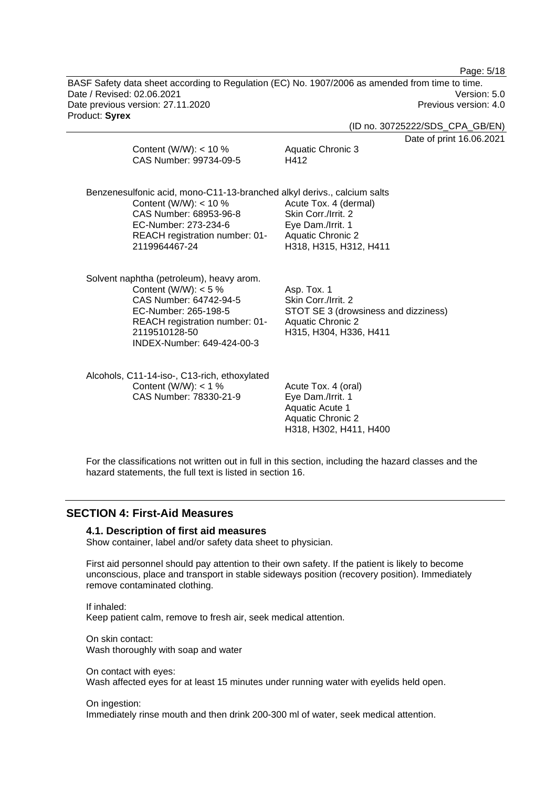Page: 5/18

BASF Safety data sheet according to Regulation (EC) No. 1907/2006 as amended from time to time. Date / Revised: 02.06.2021 Version: 5.0 Date previous version: 27.11.2020 **Previous version: 4.0** Previous version: 4.0 Product: **Syrex** 

(ID no. 30725222/SDS\_CPA\_GB/EN)

nt 16.06.2021

| Content (W/W): $<$ 10 %<br>CAS Number: 99734-09-5                                                                                                                                                       | Date of prin<br>Aquatic Chronic 3<br>H412                                                                                        |
|---------------------------------------------------------------------------------------------------------------------------------------------------------------------------------------------------------|----------------------------------------------------------------------------------------------------------------------------------|
| Benzenesulfonic acid, mono-C11-13-branched alkyl derivs., calcium salts<br>Content (W/W): $<$ 10 %<br>CAS Number: 68953-96-8<br>EC-Number: 273-234-6<br>REACH registration number: 01-<br>2119964467-24 | Acute Tox. 4 (dermal)<br>Skin Corr./Irrit. 2<br>Eye Dam./Irrit. 1<br><b>Aquatic Chronic 2</b><br>H318, H315, H312, H411          |
| Solvent naphtha (petroleum), heavy arom.<br>Content (W/W): $<$ 5 %<br>CAS Number: 64742-94-5<br>EC-Number: 265-198-5<br>REACH registration number: 01-<br>2119510128-50<br>INDEX-Number: 649-424-00-3   | Asp. Tox. 1<br>Skin Corr./Irrit. 2<br>STOT SE 3 (drowsiness and dizziness)<br><b>Aquatic Chronic 2</b><br>H315, H304, H336, H411 |
| Alcohols, C11-14-iso-, C13-rich, ethoxylated<br>Content (W/W): $<$ 1 %<br>CAS Number: 78330-21-9                                                                                                        | Acute Tox. 4 (oral)<br>Eye Dam./Irrit. 1<br>Aquatic Acute 1<br><b>Aquatic Chronic 2</b><br>H318, H302, H411, H400                |

For the classifications not written out in full in this section, including the hazard classes and the hazard statements, the full text is listed in section 16.

## **SECTION 4: First-Aid Measures**

#### **4.1. Description of first aid measures**

Show container, label and/or safety data sheet to physician.

First aid personnel should pay attention to their own safety. If the patient is likely to become unconscious, place and transport in stable sideways position (recovery position). Immediately remove contaminated clothing.

If inhaled: Keep patient calm, remove to fresh air, seek medical attention.

On skin contact: Wash thoroughly with soap and water

On contact with eyes: Wash affected eyes for at least 15 minutes under running water with eyelids held open.

#### On ingestion:

Immediately rinse mouth and then drink 200-300 ml of water, seek medical attention.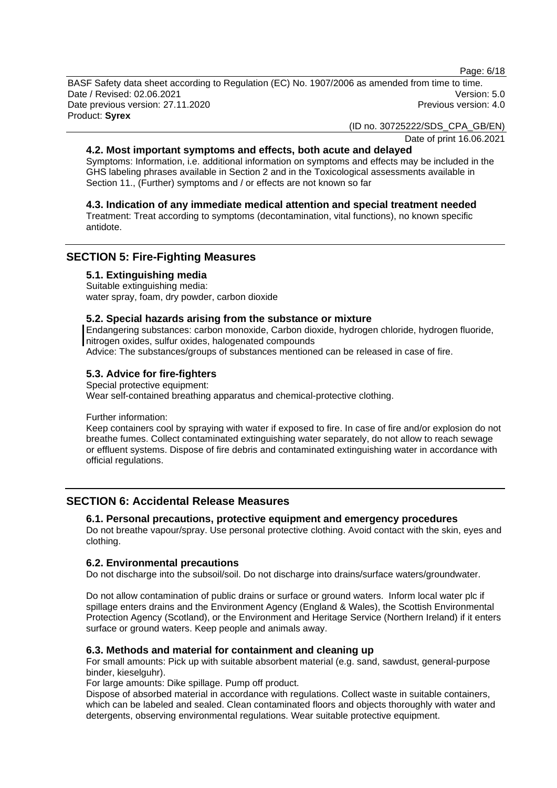Page: 6/18

BASF Safety data sheet according to Regulation (EC) No. 1907/2006 as amended from time to time. Date / Revised: 02.06.2021 Version: 5.0 Date previous version: 27.11.2020 **Previous version: 4.0** Previous version: 4.0 Product: **Syrex** 

(ID no. 30725222/SDS\_CPA\_GB/EN)

Date of print 16.06.2021

## **4.2. Most important symptoms and effects, both acute and delayed**

Symptoms: Information, i.e. additional information on symptoms and effects may be included in the GHS labeling phrases available in Section 2 and in the Toxicological assessments available in Section 11., (Further) symptoms and / or effects are not known so far

## **4.3. Indication of any immediate medical attention and special treatment needed**

Treatment: Treat according to symptoms (decontamination, vital functions), no known specific antidote.

## **SECTION 5: Fire-Fighting Measures**

#### **5.1. Extinguishing media**

Suitable extinguishing media: water spray, foam, dry powder, carbon dioxide

#### **5.2. Special hazards arising from the substance or mixture**

Endangering substances: carbon monoxide, Carbon dioxide, hydrogen chloride, hydrogen fluoride, nitrogen oxides, sulfur oxides, halogenated compounds

Advice: The substances/groups of substances mentioned can be released in case of fire.

## **5.3. Advice for fire-fighters**

Special protective equipment: Wear self-contained breathing apparatus and chemical-protective clothing.

Further information:

Keep containers cool by spraying with water if exposed to fire. In case of fire and/or explosion do not breathe fumes. Collect contaminated extinguishing water separately, do not allow to reach sewage or effluent systems. Dispose of fire debris and contaminated extinguishing water in accordance with official regulations.

## **SECTION 6: Accidental Release Measures**

## **6.1. Personal precautions, protective equipment and emergency procedures**

Do not breathe vapour/spray. Use personal protective clothing. Avoid contact with the skin, eyes and clothing.

## **6.2. Environmental precautions**

Do not discharge into the subsoil/soil. Do not discharge into drains/surface waters/groundwater.

Do not allow contamination of public drains or surface or ground waters. Inform local water plc if spillage enters drains and the Environment Agency (England & Wales), the Scottish Environmental Protection Agency (Scotland), or the Environment and Heritage Service (Northern Ireland) if it enters surface or ground waters. Keep people and animals away.

## **6.3. Methods and material for containment and cleaning up**

For small amounts: Pick up with suitable absorbent material (e.g. sand, sawdust, general-purpose binder, kieselguhr).

For large amounts: Dike spillage. Pump off product.

Dispose of absorbed material in accordance with regulations. Collect waste in suitable containers, which can be labeled and sealed. Clean contaminated floors and objects thoroughly with water and detergents, observing environmental regulations. Wear suitable protective equipment.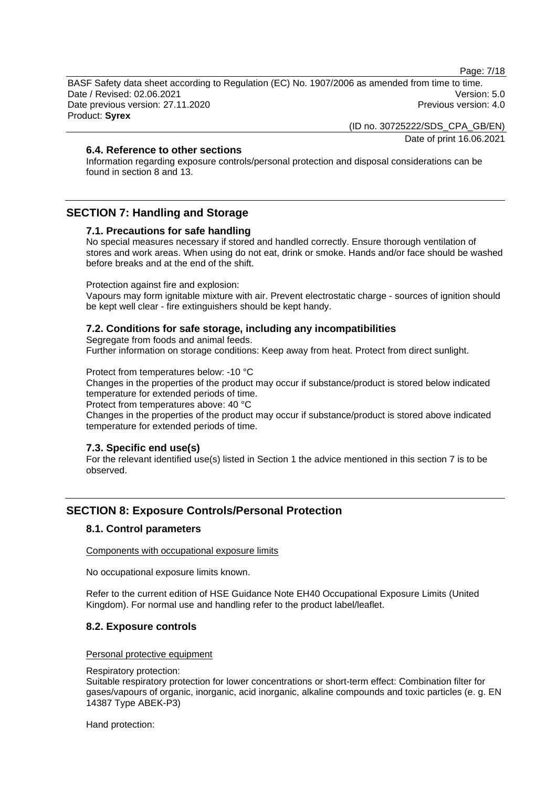Page: 7/18

BASF Safety data sheet according to Regulation (EC) No. 1907/2006 as amended from time to time. Date / Revised: 02.06.2021 Version: 5.0 Date previous version: 27.11.2020 **Previous version: 4.0** Previous version: 4.0 Product: **Syrex** 

(ID no. 30725222/SDS\_CPA\_GB/EN)

Date of print 16.06.2021

## **6.4. Reference to other sections**

Information regarding exposure controls/personal protection and disposal considerations can be found in section 8 and 13.

## **SECTION 7: Handling and Storage**

#### **7.1. Precautions for safe handling**

No special measures necessary if stored and handled correctly. Ensure thorough ventilation of stores and work areas. When using do not eat, drink or smoke. Hands and/or face should be washed before breaks and at the end of the shift.

Protection against fire and explosion:

Vapours may form ignitable mixture with air. Prevent electrostatic charge - sources of ignition should be kept well clear - fire extinguishers should be kept handy.

#### **7.2. Conditions for safe storage, including any incompatibilities**

Segregate from foods and animal feeds.

Further information on storage conditions: Keep away from heat. Protect from direct sunlight.

Protect from temperatures below: -10 °C

Changes in the properties of the product may occur if substance/product is stored below indicated temperature for extended periods of time.

Protect from temperatures above: 40 °C

Changes in the properties of the product may occur if substance/product is stored above indicated temperature for extended periods of time.

#### **7.3. Specific end use(s)**

For the relevant identified use(s) listed in Section 1 the advice mentioned in this section 7 is to be observed.

## **SECTION 8: Exposure Controls/Personal Protection**

#### **8.1. Control parameters**

Components with occupational exposure limits

No occupational exposure limits known.

Refer to the current edition of HSE Guidance Note EH40 Occupational Exposure Limits (United Kingdom). For normal use and handling refer to the product label/leaflet.

## **8.2. Exposure controls**

#### Personal protective equipment

#### Respiratory protection:

Suitable respiratory protection for lower concentrations or short-term effect: Combination filter for gases/vapours of organic, inorganic, acid inorganic, alkaline compounds and toxic particles (e. g. EN 14387 Type ABEK-P3)

Hand protection: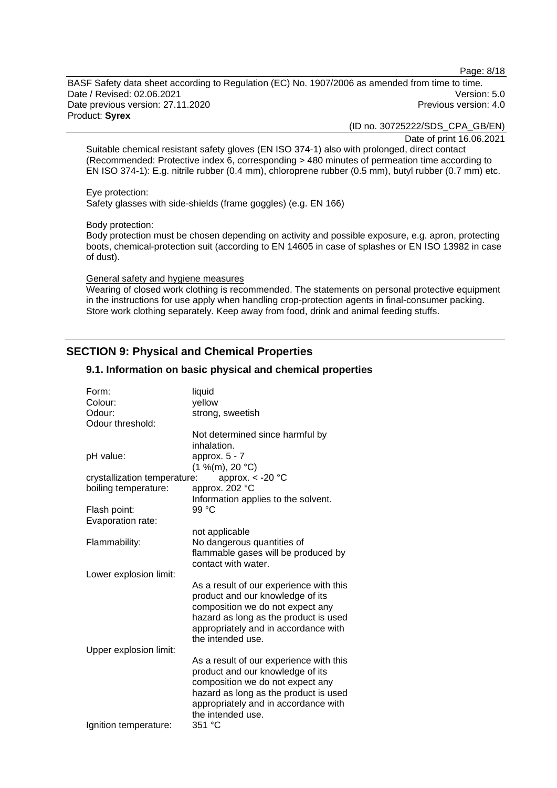Page: 8/18

BASF Safety data sheet according to Regulation (EC) No. 1907/2006 as amended from time to time. Date / Revised: 02.06.2021 Version: 5.0 Date previous version: 27.11.2020 **Previous version: 4.0** Previous version: 4.0 Product: **Syrex** 

(ID no. 30725222/SDS\_CPA\_GB/EN)

Date of print 16.06.2021

Suitable chemical resistant safety gloves (EN ISO 374-1) also with prolonged, direct contact (Recommended: Protective index 6, corresponding > 480 minutes of permeation time according to EN ISO 374-1): E.g. nitrile rubber (0.4 mm), chloroprene rubber (0.5 mm), butyl rubber (0.7 mm) etc.

Eye protection:

Safety glasses with side-shields (frame goggles) (e.g. EN 166)

Body protection:

Body protection must be chosen depending on activity and possible exposure, e.g. apron, protecting boots, chemical-protection suit (according to EN 14605 in case of splashes or EN ISO 13982 in case of dust).

#### General safety and hygiene measures

Wearing of closed work clothing is recommended. The statements on personal protective equipment in the instructions for use apply when handling crop-protection agents in final-consumer packing. Store work clothing separately. Keep away from food, drink and animal feeding stuffs.

## **SECTION 9: Physical and Chemical Properties**

#### Form: liquid Colour: yellow Odour: strong, sweetish Odour threshold: Not determined since harmful by inhalation. pH value: approx. 5 - 7  $(1 \frac{9}{6}$ (m), 20 °C) crystallization temperature: approx. < -20 °C boiling temperature: approx. 202 °C Information applies to the solvent. Flash point: 99 °C Evaporation rate: not applicable Flammability: No dangerous quantities of flammable gases will be produced by contact with water. Lower explosion limit: As a result of our experience with this product and our knowledge of its composition we do not expect any hazard as long as the product is used appropriately and in accordance with the intended use. Upper explosion limit: As a result of our experience with this product and our knowledge of its composition we do not expect any hazard as long as the product is used appropriately and in accordance with the intended use. Ignition temperature: 351 °C

## **9.1. Information on basic physical and chemical properties**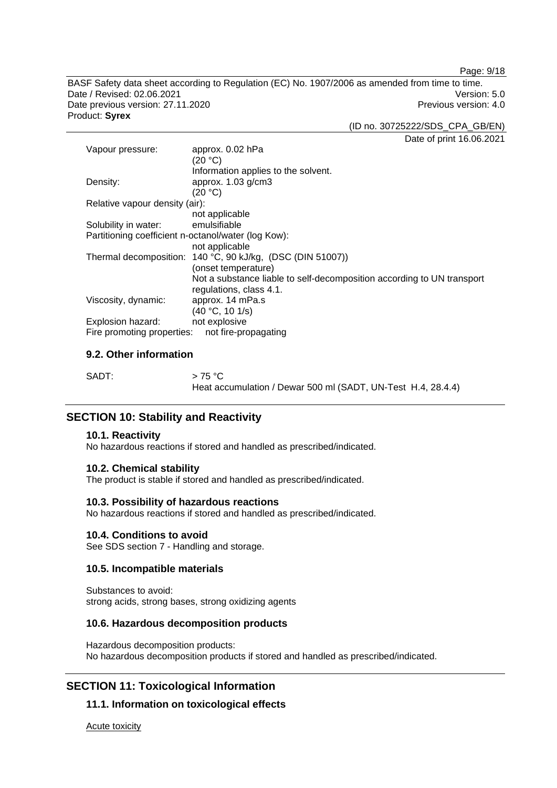Page: 9/18

BASF Safety data sheet according to Regulation (EC) No. 1907/2006 as amended from time to time. Date / Revised: 02.06.2021 Version: 5.0 Date previous version: 27.11.2020 **Previous version: 4.0** Previous version: 4.0 Product: **Syrex** 

(ID no. 30725222/SDS\_CPA\_GB/EN)

Date of print 16.06.2021

| Vapour pressure:                                    | approx. 0.02 hPa<br>(20 °C)                                                                       |  |
|-----------------------------------------------------|---------------------------------------------------------------------------------------------------|--|
|                                                     | Information applies to the solvent.                                                               |  |
| Density:                                            | approx. $1.03$ g/cm $3$                                                                           |  |
|                                                     | (20 °C)                                                                                           |  |
| Relative vapour density (air):                      |                                                                                                   |  |
|                                                     | not applicable                                                                                    |  |
| Solubility in water:                                | emulsifiable                                                                                      |  |
| Partitioning coefficient n-octanol/water (log Kow): |                                                                                                   |  |
|                                                     | not applicable                                                                                    |  |
|                                                     | Thermal decomposition: 140 °C, 90 kJ/kg, (DSC (DIN 51007))                                        |  |
|                                                     | (onset temperature)                                                                               |  |
|                                                     | Not a substance liable to self-decomposition according to UN transport<br>regulations, class 4.1. |  |
| Viscosity, dynamic:                                 | approx. 14 mPa.s                                                                                  |  |
|                                                     | (40 °C, 10 1/s)                                                                                   |  |
| Explosion hazard:                                   | not explosive                                                                                     |  |
| Fire promoting properties:                          | not fire-propagating                                                                              |  |

## **9.2. Other information**

| SADT: | $>75\,^{\circ}\mathrm{C}$                                    |
|-------|--------------------------------------------------------------|
|       | Heat accumulation / Dewar 500 ml (SADT, UN-Test H.4, 28.4.4) |

## **SECTION 10: Stability and Reactivity**

#### **10.1. Reactivity**

No hazardous reactions if stored and handled as prescribed/indicated.

#### **10.2. Chemical stability**

The product is stable if stored and handled as prescribed/indicated.

#### **10.3. Possibility of hazardous reactions**

No hazardous reactions if stored and handled as prescribed/indicated.

#### **10.4. Conditions to avoid**

See SDS section 7 - Handling and storage.

## **10.5. Incompatible materials**

Substances to avoid: strong acids, strong bases, strong oxidizing agents

#### **10.6. Hazardous decomposition products**

Hazardous decomposition products: No hazardous decomposition products if stored and handled as prescribed/indicated.

## **SECTION 11: Toxicological Information**

## **11.1. Information on toxicological effects**

Acute toxicity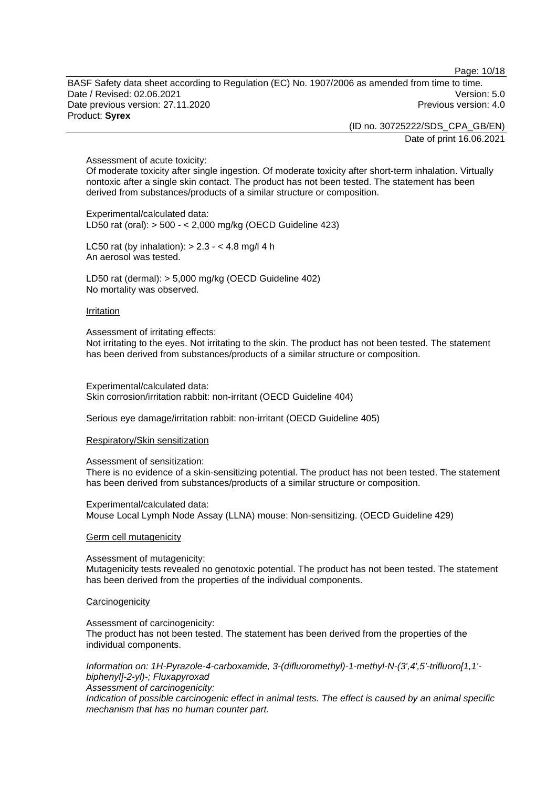Page: 10/18

BASF Safety data sheet according to Regulation (EC) No. 1907/2006 as amended from time to time. Date / Revised: 02.06.2021 Version: 5.0 Date previous version: 27.11.2020 **Previous version: 4.0** Previous version: 4.0 Product: **Syrex** 

> (ID no. 30725222/SDS\_CPA\_GB/EN) Date of print 16.06.2021

Assessment of acute toxicity:

Of moderate toxicity after single ingestion. Of moderate toxicity after short-term inhalation. Virtually nontoxic after a single skin contact. The product has not been tested. The statement has been derived from substances/products of a similar structure or composition.

Experimental/calculated data: LD50 rat (oral): > 500 - < 2,000 mg/kg (OECD Guideline 423)

LC50 rat (by inhalation):  $> 2.3 - 4.8$  mg/l 4 h An aerosol was tested.

LD50 rat (dermal): > 5,000 mg/kg (OECD Guideline 402) No mortality was observed.

#### **Irritation**

Assessment of irritating effects:

Not irritating to the eyes. Not irritating to the skin. The product has not been tested. The statement has been derived from substances/products of a similar structure or composition.

Experimental/calculated data: Skin corrosion/irritation rabbit: non-irritant (OECD Guideline 404)

Serious eye damage/irritation rabbit: non-irritant (OECD Guideline 405)

#### Respiratory/Skin sensitization

Assessment of sensitization:

There is no evidence of a skin-sensitizing potential. The product has not been tested. The statement has been derived from substances/products of a similar structure or composition.

Experimental/calculated data: Mouse Local Lymph Node Assay (LLNA) mouse: Non-sensitizing. (OECD Guideline 429)

#### Germ cell mutagenicity

Assessment of mutagenicity: Mutagenicity tests revealed no genotoxic potential. The product has not been tested. The statement has been derived from the properties of the individual components.

#### **Carcinogenicity**

Assessment of carcinogenicity: The product has not been tested. The statement has been derived from the properties of the individual components.

*Information on: 1H-Pyrazole-4-carboxamide, 3-(difluoromethyl)-1-methyl-N-(3',4',5'-trifluoro[1,1' biphenyl]-2-yl)-; Fluxapyroxad Assessment of carcinogenicity:* 

*Indication of possible carcinogenic effect in animal tests. The effect is caused by an animal specific mechanism that has no human counter part.*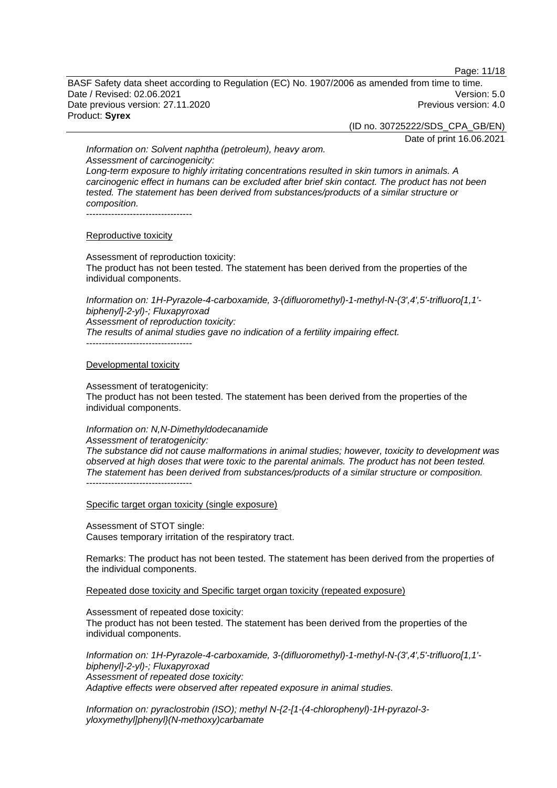Page: 11/18

BASF Safety data sheet according to Regulation (EC) No. 1907/2006 as amended from time to time. Date / Revised: 02.06.2021 Version: 5.0 Date previous version: 27.11.2020 **Previous version: 4.0** Previous version: 4.0 Product: **Syrex** 

(ID no. 30725222/SDS\_CPA\_GB/EN)

Date of print 16.06.2021

*Information on: Solvent naphtha (petroleum), heavy arom. Assessment of carcinogenicity: Long-term exposure to highly irritating concentrations resulted in skin tumors in animals. A carcinogenic effect in humans can be excluded after brief skin contact. The product has not been tested. The statement has been derived from substances/products of a similar structure or composition.*  ----------------------------------

#### Reproductive toxicity

Assessment of reproduction toxicity: The product has not been tested. The statement has been derived from the properties of the individual components.

*Information on: 1H-Pyrazole-4-carboxamide, 3-(difluoromethyl)-1-methyl-N-(3',4',5'-trifluoro[1,1' biphenyl]-2-yl)-; Fluxapyroxad Assessment of reproduction toxicity: The results of animal studies gave no indication of a fertility impairing effect.*  ----------------------------------

#### Developmental toxicity

Assessment of teratogenicity:

The product has not been tested. The statement has been derived from the properties of the individual components.

## *Information on: N,N-Dimethyldodecanamide*

*Assessment of teratogenicity: The substance did not cause malformations in animal studies; however, toxicity to development was observed at high doses that were toxic to the parental animals. The product has not been tested. The statement has been derived from substances/products of a similar structure or composition.*  ----------------------------------

Specific target organ toxicity (single exposure)

Assessment of STOT single: Causes temporary irritation of the respiratory tract.

Remarks: The product has not been tested. The statement has been derived from the properties of the individual components.

Repeated dose toxicity and Specific target organ toxicity (repeated exposure)

Assessment of repeated dose toxicity:

The product has not been tested. The statement has been derived from the properties of the individual components.

*Information on: 1H-Pyrazole-4-carboxamide, 3-(difluoromethyl)-1-methyl-N-(3',4',5'-trifluoro[1,1' biphenyl]-2-yl)-; Fluxapyroxad Assessment of repeated dose toxicity: Adaptive effects were observed after repeated exposure in animal studies.* 

*Information on: pyraclostrobin (ISO); methyl N-{2-[1-(4-chlorophenyl)-1H-pyrazol-3 yloxymethyl]phenyl}(N-methoxy)carbamate*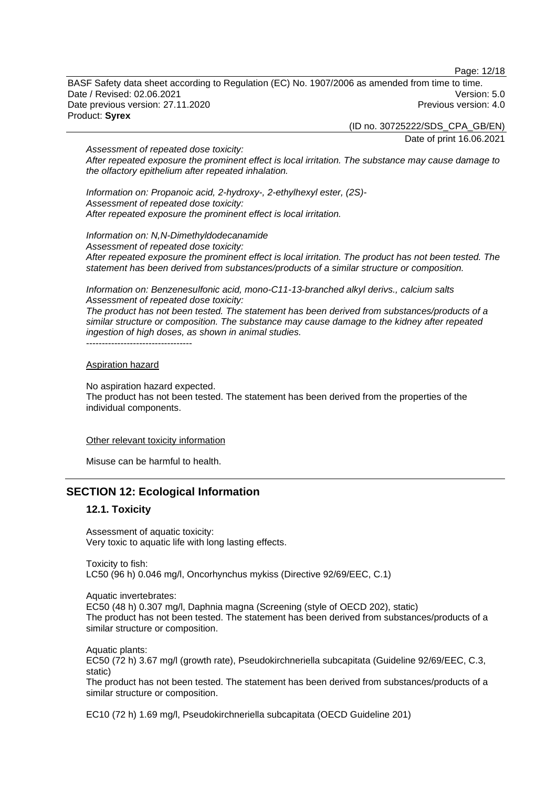Page: 12/18

BASF Safety data sheet according to Regulation (EC) No. 1907/2006 as amended from time to time. Date / Revised: 02.06.2021 Version: 5.0 Date previous version: 27.11.2020 **Previous version: 4.0** Previous version: 4.0 Product: **Syrex** 

> (ID no. 30725222/SDS\_CPA\_GB/EN) Date of print 16.06.2021

*Assessment of repeated dose toxicity: After repeated exposure the prominent effect is local irritation. The substance may cause damage to the olfactory epithelium after repeated inhalation.* 

*Information on: Propanoic acid, 2-hydroxy-, 2-ethylhexyl ester, (2S)- Assessment of repeated dose toxicity: After repeated exposure the prominent effect is local irritation.* 

*Information on: N,N-Dimethyldodecanamide Assessment of repeated dose toxicity: After repeated exposure the prominent effect is local irritation. The product has not been tested. The statement has been derived from substances/products of a similar structure or composition.* 

*Information on: Benzenesulfonic acid, mono-C11-13-branched alkyl derivs., calcium salts Assessment of repeated dose toxicity:* 

*The product has not been tested. The statement has been derived from substances/products of a similar structure or composition. The substance may cause damage to the kidney after repeated ingestion of high doses, as shown in animal studies.*  ----------------------------------

#### Aspiration hazard

No aspiration hazard expected.

The product has not been tested. The statement has been derived from the properties of the individual components.

#### Other relevant toxicity information

Misuse can be harmful to health.

## **SECTION 12: Ecological Information**

## **12.1. Toxicity**

Assessment of aquatic toxicity: Very toxic to aquatic life with long lasting effects.

Toxicity to fish: LC50 (96 h) 0.046 mg/l, Oncorhynchus mykiss (Directive 92/69/EEC, C.1)

Aquatic invertebrates:

EC50 (48 h) 0.307 mg/l, Daphnia magna (Screening (style of OECD 202), static) The product has not been tested. The statement has been derived from substances/products of a similar structure or composition.

Aquatic plants: EC50 (72 h) 3.67 mg/l (growth rate), Pseudokirchneriella subcapitata (Guideline 92/69/EEC, C.3, static)

The product has not been tested. The statement has been derived from substances/products of a similar structure or composition.

EC10 (72 h) 1.69 mg/l, Pseudokirchneriella subcapitata (OECD Guideline 201)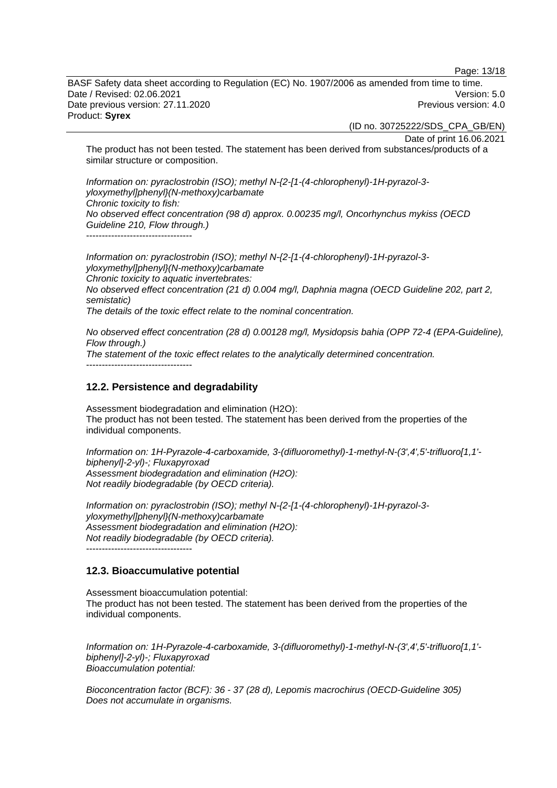Page: 13/18

BASF Safety data sheet according to Regulation (EC) No. 1907/2006 as amended from time to time. Date / Revised: 02.06.2021 Version: 5.0 Date previous version: 27.11.2020 **Previous version: 4.0** Previous version: 4.0 Product: **Syrex** 

(ID no. 30725222/SDS\_CPA\_GB/EN)

Date of print 16.06.2021

The product has not been tested. The statement has been derived from substances/products of a similar structure or composition.

*Information on: pyraclostrobin (ISO); methyl N-{2-[1-(4-chlorophenyl)-1H-pyrazol-3 yloxymethyl]phenyl}(N-methoxy)carbamate Chronic toxicity to fish: No observed effect concentration (98 d) approx. 0.00235 mg/l, Oncorhynchus mykiss (OECD Guideline 210, Flow through.)*   $-$ 

*Information on: pyraclostrobin (ISO); methyl N-{2-[1-(4-chlorophenyl)-1H-pyrazol-3 yloxymethyl]phenyl}(N-methoxy)carbamate Chronic toxicity to aquatic invertebrates: No observed effect concentration (21 d) 0.004 mg/l, Daphnia magna (OECD Guideline 202, part 2, semistatic) The details of the toxic effect relate to the nominal concentration.* 

*No observed effect concentration (28 d) 0.00128 mg/l, Mysidopsis bahia (OPP 72-4 (EPA-Guideline), Flow through.) The statement of the toxic effect relates to the analytically determined concentration.*   $-$ 

## **12.2. Persistence and degradability**

Assessment biodegradation and elimination (H2O): The product has not been tested. The statement has been derived from the properties of the individual components.

*Information on: 1H-Pyrazole-4-carboxamide, 3-(difluoromethyl)-1-methyl-N-(3',4',5'-trifluoro[1,1' biphenyl]-2-yl)-; Fluxapyroxad Assessment biodegradation and elimination (H2O): Not readily biodegradable (by OECD criteria).* 

*Information on: pyraclostrobin (ISO); methyl N-{2-[1-(4-chlorophenyl)-1H-pyrazol-3 yloxymethyl]phenyl}(N-methoxy)carbamate Assessment biodegradation and elimination (H2O): Not readily biodegradable (by OECD criteria).*  ----------------------------------

#### **12.3. Bioaccumulative potential**

Assessment bioaccumulation potential: The product has not been tested. The statement has been derived from the properties of the individual components.

*Information on: 1H-Pyrazole-4-carboxamide, 3-(difluoromethyl)-1-methyl-N-(3',4',5'-trifluoro[1,1' biphenyl]-2-yl)-; Fluxapyroxad Bioaccumulation potential:* 

*Bioconcentration factor (BCF): 36 - 37 (28 d), Lepomis macrochirus (OECD-Guideline 305) Does not accumulate in organisms.*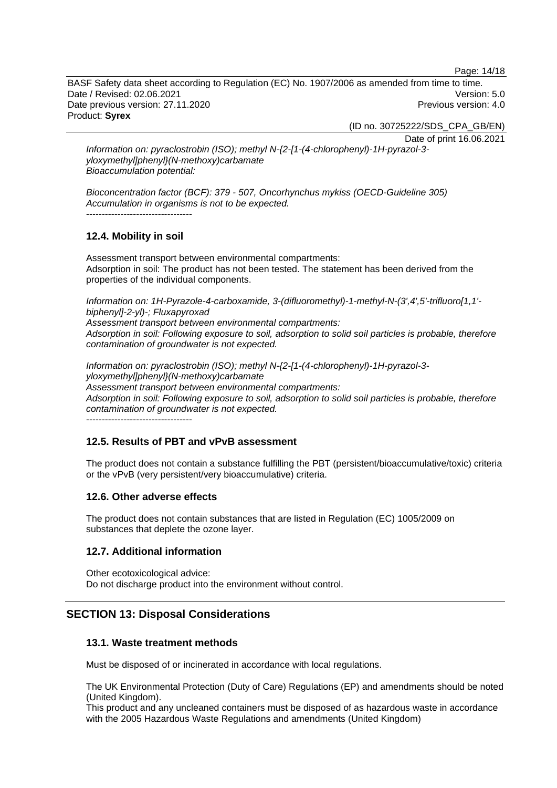Page: 14/18

BASF Safety data sheet according to Regulation (EC) No. 1907/2006 as amended from time to time. Date / Revised: 02.06.2021 Version: 5.0 Date previous version: 27.11.2020 **Previous version: 4.0** Previous version: 4.0 Product: **Syrex** 

(ID no. 30725222/SDS\_CPA\_GB/EN)

Date of print 16.06.2021

*Information on: pyraclostrobin (ISO); methyl N-{2-[1-(4-chlorophenyl)-1H-pyrazol-3 yloxymethyl]phenyl}(N-methoxy)carbamate Bioaccumulation potential:* 

*Bioconcentration factor (BCF): 379 - 507, Oncorhynchus mykiss (OECD-Guideline 305) Accumulation in organisms is not to be expected.*  ----------------------------------

## **12.4. Mobility in soil**

Assessment transport between environmental compartments: Adsorption in soil: The product has not been tested. The statement has been derived from the properties of the individual components.

*Information on: 1H-Pyrazole-4-carboxamide, 3-(difluoromethyl)-1-methyl-N-(3',4',5'-trifluoro[1,1' biphenyl]-2-yl)-; Fluxapyroxad* 

*Assessment transport between environmental compartments: Adsorption in soil: Following exposure to soil, adsorption to solid soil particles is probable, therefore contamination of groundwater is not expected.*

*Information on: pyraclostrobin (ISO); methyl N-{2-[1-(4-chlorophenyl)-1H-pyrazol-3 yloxymethyl]phenyl}(N-methoxy)carbamate Assessment transport between environmental compartments: Adsorption in soil: Following exposure to soil, adsorption to solid soil particles is probable, therefore contamination of groundwater is not expected.*

----------------------------------

## **12.5. Results of PBT and vPvB assessment**

The product does not contain a substance fulfilling the PBT (persistent/bioaccumulative/toxic) criteria or the vPvB (very persistent/very bioaccumulative) criteria.

#### **12.6. Other adverse effects**

The product does not contain substances that are listed in Regulation (EC) 1005/2009 on substances that deplete the ozone layer.

#### **12.7. Additional information**

Other ecotoxicological advice: Do not discharge product into the environment without control.

## **SECTION 13: Disposal Considerations**

#### **13.1. Waste treatment methods**

Must be disposed of or incinerated in accordance with local regulations.

The UK Environmental Protection (Duty of Care) Regulations (EP) and amendments should be noted (United Kingdom).

This product and any uncleaned containers must be disposed of as hazardous waste in accordance with the 2005 Hazardous Waste Regulations and amendments (United Kingdom)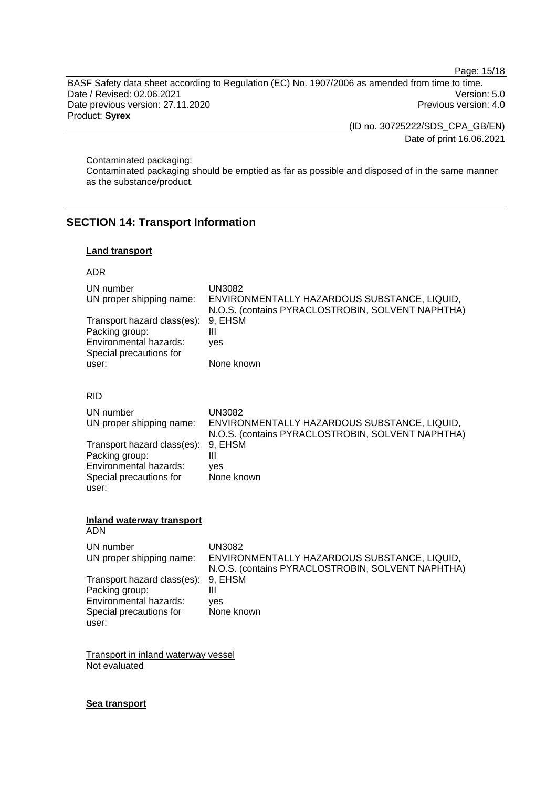Page: 15/18

BASF Safety data sheet according to Regulation (EC) No. 1907/2006 as amended from time to time. Date / Revised: 02.06.2021 Version: 5.0 Date previous version: 27.11.2020 **Previous version: 4.0** Previous version: 4.0 Product: **Syrex** 

(ID no. 30725222/SDS\_CPA\_GB/EN)

Date of print 16.06.2021

Contaminated packaging:

Contaminated packaging should be emptied as far as possible and disposed of in the same manner as the substance/product.

## **SECTION 14: Transport Information**

## **Land transport**

#### ADR

| UN number<br>UN proper shipping name:<br>Transport hazard class(es):<br>Packing group:<br>Environmental hazards:<br>Special precautions for<br>user: | <b>UN3082</b><br>ENVIRONMENTALLY HAZARDOUS SUBSTANCE, LIQUID,<br>N.O.S. (contains PYRACLOSTROBIN, SOLVENT NAPHTHA)<br>9, EHSM<br>$\mathbf{III}$<br>yes<br>None known |
|------------------------------------------------------------------------------------------------------------------------------------------------------|----------------------------------------------------------------------------------------------------------------------------------------------------------------------|
| <b>RID</b>                                                                                                                                           |                                                                                                                                                                      |
| UN number<br>UN proper shipping name:                                                                                                                | <b>UN3082</b><br>ENVIRONMENTALLY HAZARDOUS SUBSTANCE, LIQUID,<br>N.O.S. (contains PYRACLOSTROBIN, SOLVENT NAPHTHA)                                                   |
| Transport hazard class(es):<br>Packing group:<br>Environmental hazards:<br>Special precautions for<br>user:                                          | 9, EHSM<br>Ш<br>ves<br>None known                                                                                                                                    |
| Inland waterway transport<br><b>ADN</b>                                                                                                              |                                                                                                                                                                      |
| UN number<br>UN proper shipping name:                                                                                                                | <b>UN3082</b><br>ENVIRONMENTALLY HAZARDOUS SUBSTANCE, LIQUID,<br>N.O.S. (contains PYRACLOSTROBIN, SOLVENT NAPHTHA)                                                   |
| Transport hazard class(es):<br>Packing group:<br>Environmental hazards:<br>Special precautions for<br>user:                                          | 9, EHSM<br>Ш<br>ves<br>None known                                                                                                                                    |
| وتمله مرورو المتمر المراسدة المراسين من                                                                                                              |                                                                                                                                                                      |

**Transport in inland waterway vessel** Not evaluated

#### **Sea transport**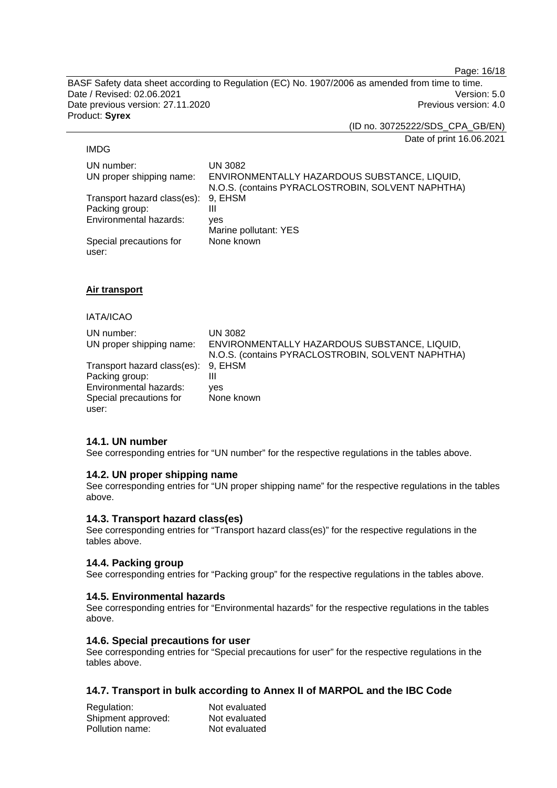Page: 16/18

BASF Safety data sheet according to Regulation (EC) No. 1907/2006 as amended from time to time. Date / Revised: 02.06.2021 Version: 5.0 Date previous version: 27.11.2020 **Previous version: 4.0** Previous version: 4.0 Product: **Syrex** 

(ID no. 30725222/SDS\_CPA\_GB/EN)

Date of print 16.06.2021

#### IMDG

UN number: UN 3082 UN proper shipping name: ENVIRONMENTALLY HAZARDOUS SUBSTANCE, LIQUID, N.O.S. (contains PYRACLOSTROBIN, SOLVENT NAPHTHA) Transport hazard class(es): 9, EHSM Packing group: III Environmental hazards: yes Marine pollutant: YES Special precautions for user: None known

## **Air transport**

#### IATA/ICAO

| UN number:<br>UN proper shipping name:                | UN 3082<br>ENVIRONMENTALLY HAZARDOUS SUBSTANCE, LIQUID,<br>N.O.S. (contains PYRACLOSTROBIN, SOLVENT NAPHTHA) |
|-------------------------------------------------------|--------------------------------------------------------------------------------------------------------------|
| Transport hazard class(es): 9, EHSM<br>Packing group: | Ш                                                                                                            |
| Environmental hazards:                                | ves                                                                                                          |
| Special precautions for                               | None known                                                                                                   |
| user:                                                 |                                                                                                              |

## **14.1. UN number**

See corresponding entries for "UN number" for the respective regulations in the tables above.

## **14.2. UN proper shipping name**

See corresponding entries for "UN proper shipping name" for the respective regulations in the tables above.

## **14.3. Transport hazard class(es)**

See corresponding entries for "Transport hazard class(es)" for the respective regulations in the tables above.

## **14.4. Packing group**

See corresponding entries for "Packing group" for the respective regulations in the tables above.

## **14.5. Environmental hazards**

See corresponding entries for "Environmental hazards" for the respective regulations in the tables above.

## **14.6. Special precautions for user**

See corresponding entries for "Special precautions for user" for the respective regulations in the tables above.

## **14.7. Transport in bulk according to Annex II of MARPOL and the IBC Code**

| Regulation:        | Not evaluated |
|--------------------|---------------|
| Shipment approved: | Not evaluated |
| Pollution name:    | Not evaluated |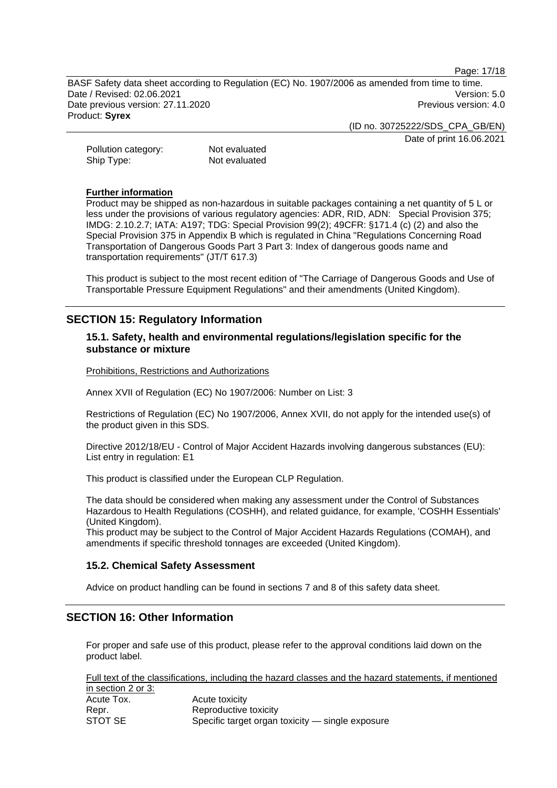Page: 17/18

BASF Safety data sheet according to Regulation (EC) No. 1907/2006 as amended from time to time. Date / Revised: 02.06.2021 Version: 5.0 Date previous version: 27.11.2020 **Previous version: 4.0** Previous version: 4.0 Product: **Syrex** 

(ID no. 30725222/SDS\_CPA\_GB/EN)

Date of print 16.06.2021

Pollution category: Not evaluated Ship Type: Not evaluated

#### **Further information**

Product may be shipped as non-hazardous in suitable packages containing a net quantity of 5 L or less under the provisions of various regulatory agencies: ADR, RID, ADN: Special Provision 375; IMDG: 2.10.2.7; IATA: A197; TDG: Special Provision 99(2); 49CFR: §171.4 (c) (2) and also the Special Provision 375 in Appendix B which is regulated in China "Regulations Concerning Road Transportation of Dangerous Goods Part 3 Part 3: Index of dangerous goods name and transportation requirements" (JT/T 617.3)

This product is subject to the most recent edition of "The Carriage of Dangerous Goods and Use of Transportable Pressure Equipment Regulations" and their amendments (United Kingdom).

## **SECTION 15: Regulatory Information**

## **15.1. Safety, health and environmental regulations/legislation specific for the substance or mixture**

Prohibitions, Restrictions and Authorizations

Annex XVII of Regulation (EC) No 1907/2006: Number on List: 3

Restrictions of Regulation (EC) No 1907/2006, Annex XVII, do not apply for the intended use(s) of the product given in this SDS.

Directive 2012/18/EU - Control of Major Accident Hazards involving dangerous substances (EU): List entry in regulation: E1

This product is classified under the European CLP Regulation.

The data should be considered when making any assessment under the Control of Substances Hazardous to Health Regulations (COSHH), and related guidance, for example, 'COSHH Essentials' (United Kingdom).

This product may be subject to the Control of Major Accident Hazards Regulations (COMAH), and amendments if specific threshold tonnages are exceeded (United Kingdom).

## **15.2. Chemical Safety Assessment**

Advice on product handling can be found in sections 7 and 8 of this safety data sheet.

## **SECTION 16: Other Information**

For proper and safe use of this product, please refer to the approval conditions laid down on the product label.

Full text of the classifications, including the hazard classes and the hazard statements, if mentioned in section 2 or 3: Acute Tox. Acute toxicity

| AUULT I UA. | <b>AUGE IUAIUILY</b>                             |
|-------------|--------------------------------------------------|
| Repr.       | Reproductive toxicity                            |
| STOT SE     | Specific target organ toxicity - single exposure |